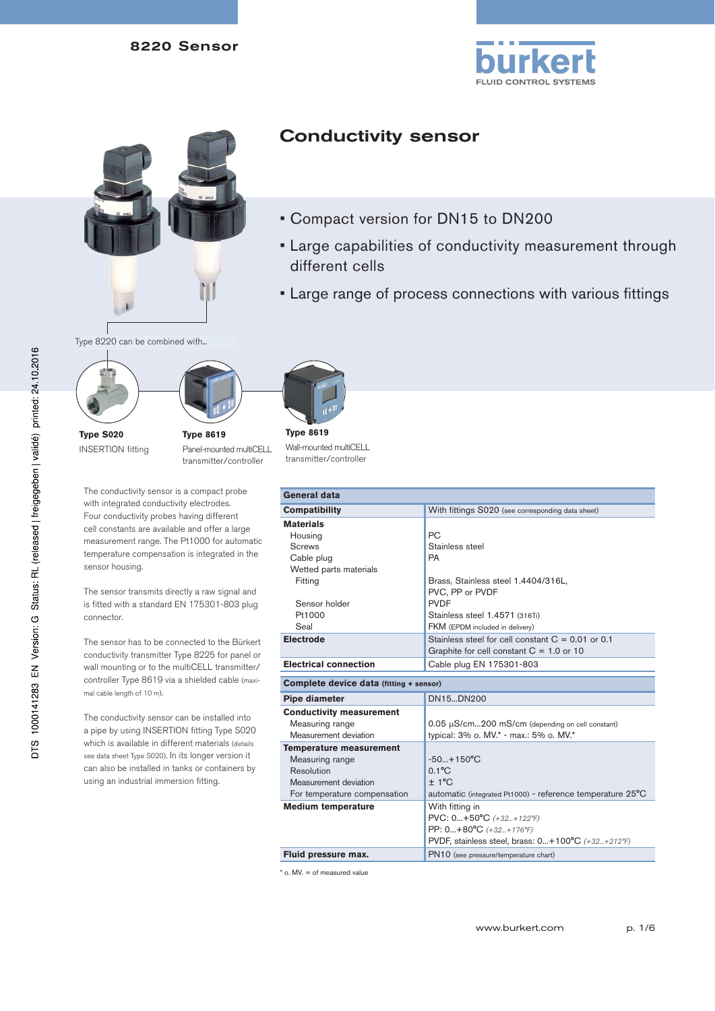# 8220 Sensor





# Type 8220 can be combined with...



**Type S020** INSERTION fitting **Type 8619** Panel-mounted multiCELL transmitter/controller

The conductivity sensor is a compact probe with integrated conductivity electrodes. Four conductivity probes having different cell constants are available and offer a large measurement range. The Pt1000 for automatic temperature compensation is integrated in the sensor housing.

The sensor transmits directly a raw signal and is fitted with a standard EN 175301-803 plug connector.

The sensor has to be connected to the Bürkert conductivity transmitter Type 8225 for panel or wall mounting or to the multiCELL transmitter/ controller Type 8619 via a shielded cable (maximal cable length of 10 m).

The conductivity sensor can be installed into a pipe by using INSERTION fitting Type S020 which is available in different materials (details see data sheet Type S020). In its longer version it can also be installed in tanks or containers by using an industrial immersion fitting.



different cells

Conductivity sensor

• Compact version for DN15 to DN200

• Large capabilities of conductivity measurement through

• Large range of process connections with various fittings

**Type 8619** Wall-mounted multiCELL transmitter/controller

| General data                            |                                                                      |  |
|-----------------------------------------|----------------------------------------------------------------------|--|
| <b>Compatibility</b>                    | With fittings S020 (see corresponding data sheet)                    |  |
| <b>Materials</b>                        |                                                                      |  |
| Housing                                 | PC.                                                                  |  |
| <b>Screws</b>                           | Stainless steel                                                      |  |
| Cable plug                              | PA                                                                   |  |
| Wetted parts materials                  |                                                                      |  |
| Fitting                                 | Brass, Stainless steel 1.4404/316L,                                  |  |
|                                         | PVC, PP or PVDF                                                      |  |
| Sensor holder                           | <b>PVDF</b>                                                          |  |
| Pt1000                                  | Stainless steel 1.4571 (316Ti)                                       |  |
| Seal                                    | FKM (EPDM included in delivery)                                      |  |
| <b>Electrode</b>                        | Stainless steel for cell constant $C = 0.01$ or 0.1                  |  |
|                                         | Graphite for cell constant $C = 1.0$ or 10                           |  |
| <b>Electrical connection</b>            | Cable plug EN 175301-803                                             |  |
| Complete device data (fitting + sensor) |                                                                      |  |
| Pipe diameter                           | DN15DN200                                                            |  |
| <b>Conductivity measurement</b>         |                                                                      |  |
| Measuring range                         | 0.05 µS/cm200 mS/cm (depending on cell constant)                     |  |
| Measurement deviation                   | typical: 3% o. MV.* - max.: 5% o. MV.*                               |  |
| <b>Temperature measurement</b>          |                                                                      |  |
| Measuring range                         | $-50+150^{\circ}C$                                                   |  |
| Resolution                              | $0.1$ <sup>o</sup> $C$                                               |  |
| Measurement deviation                   | $± 1$ °C                                                             |  |
| For temperature compensation            | automatic (integrated Pt1000) - reference temperature $25^{\circ}$ C |  |
| <b>Medium temperature</b>               | With fitting in                                                      |  |
|                                         | PVC: 0+50°C (+32+122°F)                                              |  |
|                                         | PP: 0+80°C (+32+176°F)                                               |  |
|                                         | PVDF, stainless steel, brass: 0+100°C (+32+212°F)                    |  |
| Fluid pressure max.                     | PN10 (see pressure/temperature chart)                                |  |

\* o. MV. = of measured value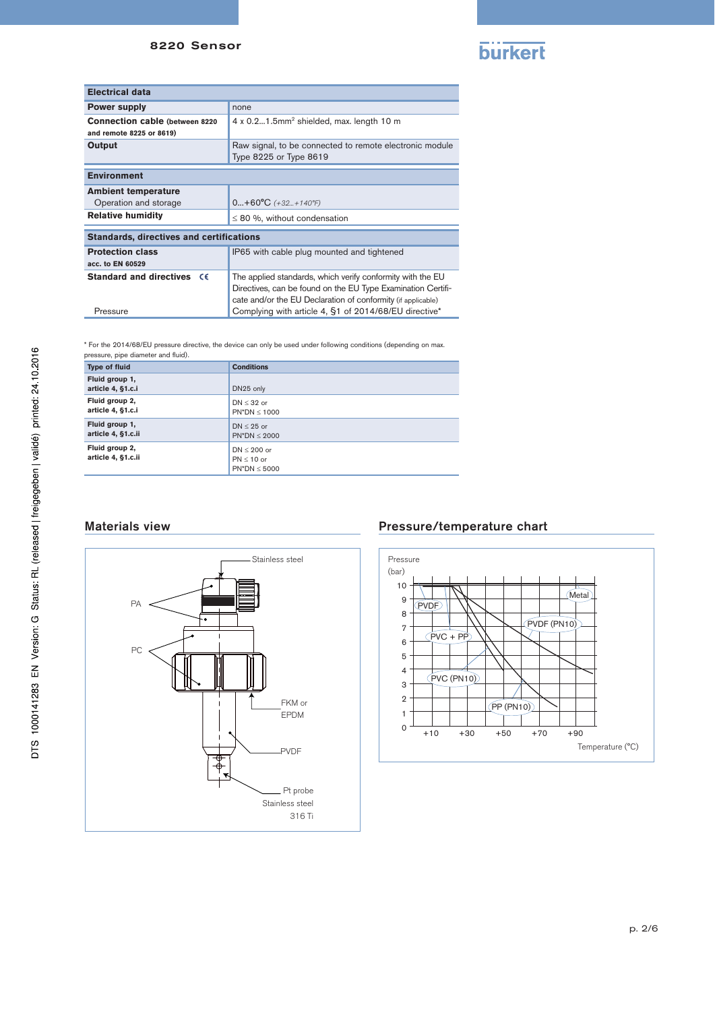## 8220 Sensor



| <b>Electrical data</b>                          |                                                              |  |
|-------------------------------------------------|--------------------------------------------------------------|--|
| <b>Power supply</b>                             | none                                                         |  |
| <b>Connection cable (between 8220)</b>          | $4 \times 0.21.5$ mm <sup>2</sup> shielded, max. length 10 m |  |
| and remote 8225 or 8619)                        |                                                              |  |
| Output                                          | Raw signal, to be connected to remote electronic module      |  |
|                                                 | Type 8225 or Type 8619                                       |  |
|                                                 |                                                              |  |
| <b>Environment</b>                              |                                                              |  |
| <b>Ambient temperature</b>                      |                                                              |  |
| Operation and storage                           | $0+60°C$ (+32+140°F)                                         |  |
| <b>Relative humidity</b>                        | $\leq$ 80 %, without condensation                            |  |
| <b>Standards, directives and certifications</b> |                                                              |  |
| <b>Protection class</b>                         | IP65 with cable plug mounted and tightened                   |  |
| acc. to EN 60529                                |                                                              |  |
|                                                 |                                                              |  |
| <b>Standard and directives</b><br><b>CE</b>     | The applied standards, which verify conformity with the EU   |  |
|                                                 | Directives, can be found on the EU Type Examination Certifi- |  |
|                                                 | cate and/or the EU Declaration of conformity (if applicable) |  |
| Pressure                                        | Complying with article 4, §1 of 2014/68/EU directive*        |  |

\* For the 2014/68/EU pressure directive, the device can only be used under following conditions (depending on max. pressure, pipe diameter and fluid).

| <b>Type of fluid</b>                 | <b>Conditions</b>                                |
|--------------------------------------|--------------------------------------------------|
| Fluid group 1,<br>article 4, §1.c.i  | DN25 only                                        |
| Fluid group 2,<br>article 4, §1.c.i  | $DN < 32$ or<br>$PN^*DN < 1000$                  |
| Fluid group 1,<br>article 4, §1.c.ii | $DN < 25$ or<br>$PN^*DN < 2000$                  |
| Fluid group 2,<br>article 4, §1.c.ii | $DN < 200$ or<br>$PN < 10$ or<br>$PN^*DN < 5000$ |

# Materials view



## Pressure/temperature chart

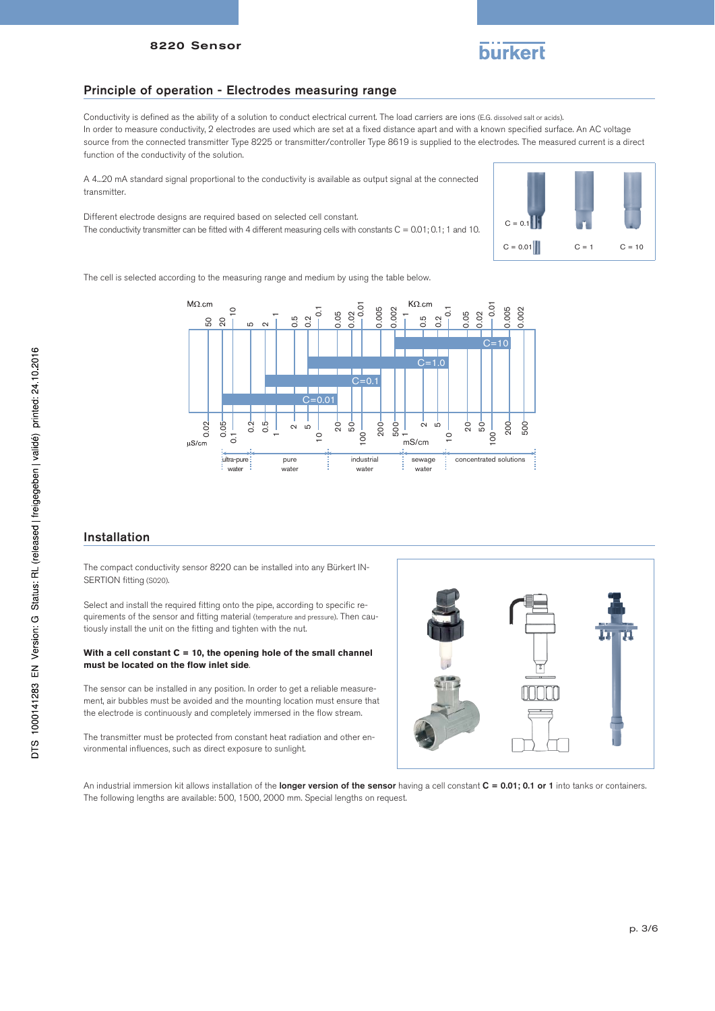

#### Principle of operation - Electrodes measuring range

Conductivity is defined as the ability of a solution to conduct electrical current. The load carriers are ions (E.G. dissolved salt or acids). In order to measure conductivity, 2 electrodes are used which are set at a fixed distance apart and with a known specified surface. An AC voltage source from the connected transmitter Type 8225 or transmitter/controller Type 8619 is supplied to the electrodes. The measured current is a direct function of the conductivity of the solution.

A 4...20 mA standard signal proportional to the conductivity is available as output signal at the connected transmitter.

Different electrode designs are required based on selected cell constant.

The conductivity transmitter can be fitted with 4 different measuring cells with constants  $C = 0.01; 0.1; 1$  and 10.



The cell is selected according to the measuring range and medium by using the table below.



## Installation

The compact conductivity sensor 8220 can be installed into any Bürkert IN-SERTION fitting (S020).

Select and install the required fitting onto the pipe, according to specific requirements of the sensor and fitting material (temperature and pressure). Then cautiously install the unit on the fitting and tighten with the nut.

#### **With a cell constant C = 10, the opening hole of the small channel must be located on the flow inlet side**.

The sensor can be installed in any position. In order to get a reliable measurement, air bubbles must be avoided and the mounting location must ensure that the electrode is continuously and completely immersed in the flow stream.

The transmitter must be protected from constant heat radiation and other environmental influences, such as direct exposure to sunlight.



An industrial immersion kit allows installation of the longer version of the sensor having a cell constant  $C = 0.01$ : 0.1 or 1 into tanks or containers. The following lengths are available: 500, 1500, 2000 mm. Special lengths on request.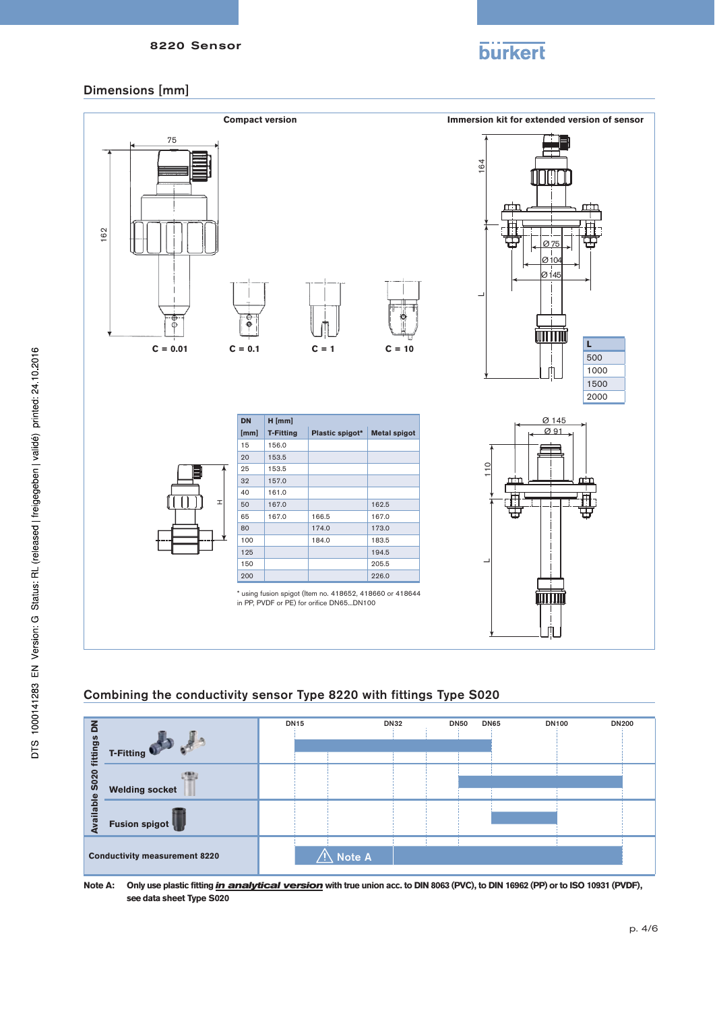

# Dimensions [mm]



# Combining the conductivity sensor Type 8220 with fittings Type S020



**Note A: Only use plastic fitting** *in analytical version* **with true union acc. to DIN 8063 (PVC), to DIN 16962 (PP) or to ISO 10931 (PVDF), see data sheet Type S020**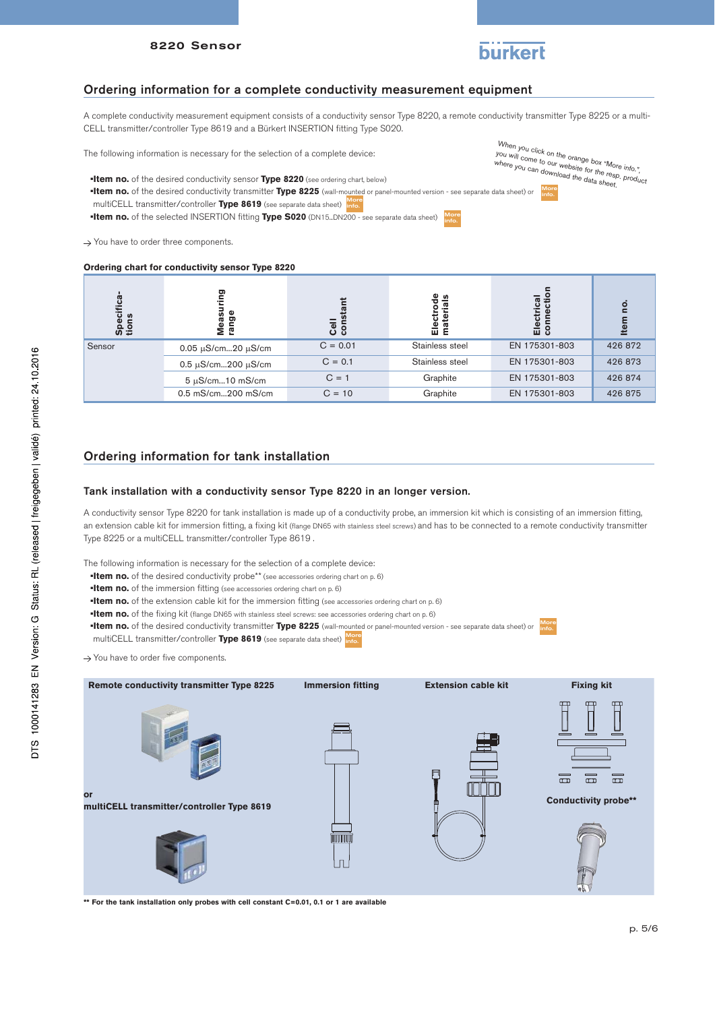

A complete conductivity measurement equipment consists of a conductivity sensor Type 8220, a remote conductivity transmitter Type 8225 or a multi-CELL transmitter/controller Type 8619 and a Bürkert INSERTION fitting Type S020.

The following information is necessary for the selection of a complete device:

**•Item no.** of the desired conductivity sensor **Type 8220** (see ordering chart, below)

**•Item no.** of the desired conductivity transmitter **Type 8225** (wall-mounted or panel-mounted version - see separate data sheet) or multiCELL transmitter/controller **Type 8619** (see separate data sheet) **More** 

**•Item no.** of the selected INSERTION fitting **Type S020** (DN15...DN200 - see separate data sheet) More

 $\rightarrow$  You have to order three components.

#### **Ordering chart for conductivity sensor Type 8220**

**Specifica-**<br>tions<br>Measuring<br>Measuring **connection** connection Electrode<br>materials **Electrode Electrical Cell**  Electrical **materials constant Item no.**  no. Item Sensor 0.05  $\mu$ S/cm...20  $\mu$ S/cm C = 0.01 Stainless steel EN 175301-803 426 872 0.5 uS/cm...200 uS/cm C = 0.1 Stainless steel EN 175301-803 426 873  $5 \mu$ S/cm...10 mS/cm  $C = 1$  Graphite EN 175301-803 426 874 0.5 mS/cm...200 mS/cm C = 10 Graphite EN 175301-803 426 875

# Ordering information for tank installation

#### Tank installation with a conductivity sensor Type 8220 in an longer version.

A conductivity sensor Type 8220 for tank installation is made up of a conductivity probe, an immersion kit which is consisting of an immersion fitting, an extension cable kit for immersion fitting, a fixing kit (flange DN65 with stainless steel screws) and has to be connected to a remote conductivity transmitter Type 8225 or a multiCELL transmitter/controller Type 8619 .

The following information is necessary for the selection of a complete device:

- **•Item no.** of the desired conductivity probe\*\* (see accessories ordering chart on p. 6)
- **•Item no.** of the immersion fitting (see accessories ordering chart on p. 6)
- **•Item no.** of the extension cable kit for the immersion fitting (see accessories ordering chart on p. 6)
- **•Item no.** of the fixing kit (flange DN65 with stainless steel screws: see accessories ordering chart on p. 6)
- **•Item no.** of the desired conductivity transmitter **Type 8225** (wall-mounted or panel-mounted version see separate data sheet) or More info.
- multiCELL transmitter/controller **Type 8619** (see separate data sheet) More info.

 $\rightarrow$  You have to order five components.



**\*\* For the tank installation only probes with cell constant C=0.01, 0.1 or 1 are available**

When you click on the orange box "More info.", you will come to on the orange box "More info."<br>where you can download the data sheet.<br>where you can download the data sheet.





More<br>info.